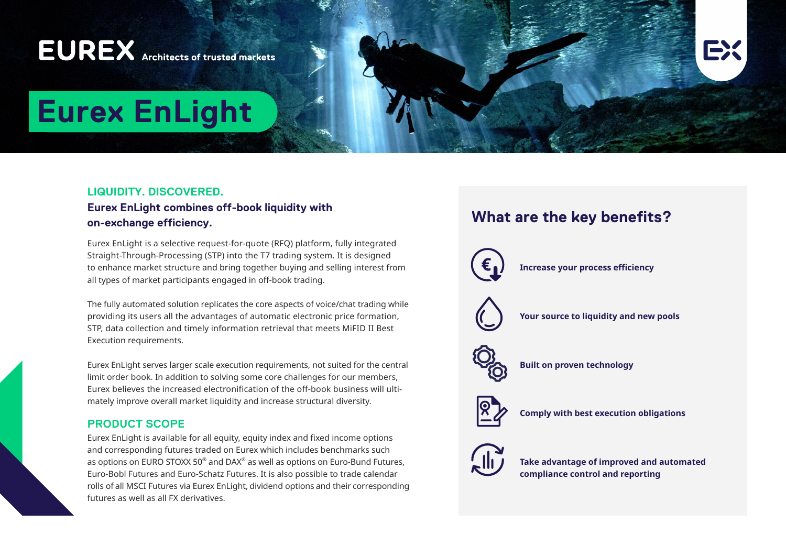# **EUREX** Architects of trusted markets



# **Eurex EnLight**

# **LIQUIDITY. DISCOVERED.**

# **Eurex EnLight combines off-book liquidity with on-exchange efficiency.**

Eurex EnLight is a selective request-for-quote (RFQ) platform, fully integrated Straight-Through-Processing (STP) into the T7 trading system. It is designed to enhance market structure and bring together buying and selling interest from all types of market participants engaged in off-book trading.

The fully automated solution replicates the core aspects of voice/chat trading while providing its users all the advantages of automatic electronic price formation, STP, data collection and timely information retrieval that meets MiFID II Best Execution requirements.

Eurex EnLight serves larger scale execution requirements, not suited for the central limit order book. In addition to solving some core challenges for our members, Eurex believes the increased electronification of the off-book business will ultimately improve overall market liquidity and increase structural diversity.

## **PRODUCT SCOPE**

Eurex EnLight is available for all equity, equity index and fixed income options and corresponding futures traded on Eurex which includes benchmarks such as options on EURO STOXX 50 $^{\circ}$  and DAX $^{\circ}$  as well as options on Euro-Bund Futures, Euro-Bobl Futures and Euro-Schatz Futures. It is also possible to trade calendar rolls of all MSCI Futures via Eurex EnLight, dividend options and their corresponding futures as well as all FX derivatives.

# **What are the key benefits?**